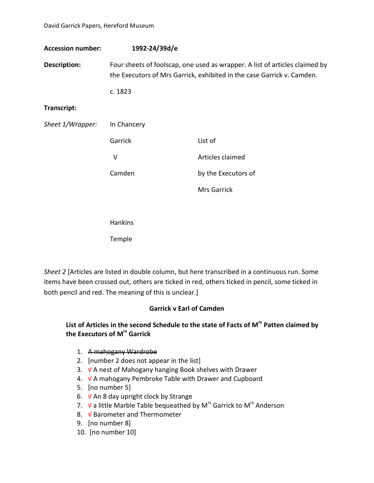**Accession number: 1992-24/39d/e Description:** Four sheets of foolscap, one used as wrapper. A list of articles claimed by the Executors of Mrs Garrick, exhibited in the case Garrick v. Camden. c. 1823 **Transcript:** *Sheet 1/Wrapper:* In Chancery Garrick List of V Articles claimed Camden by the Executors of Mrs Garrick **Hankins** 

Temple

*Sheet 2* [Articles are listed in double column, but here transcribed in a continuous run. Some items have been crossed out, others are ticked in red, others ticked in pencil, some ticked in both pencil and red. The meaning of this is unclear.]

### **Garrick v Earl of Camden**

### **List of Articles in the second Schedule to the state of Facts of Mrs Patten claimed by the Executors of Mrs Garrick**

- 1. A mahogany Wardrobe
- 2. [number 2 does not appear in the list]
- 3. √ A nest of Mahogany hanging Book shelves with Drawer
- 4. √ A mahogany Pembroke Table with Drawer and Cupboard
- 5. [no number 5]
- 6.  $V$  An 8 day upright clock by Strange
- 7.  $V$  a little Marble Table bequeathed by M<sup>rs</sup> Garrick to M<sup>rs</sup> Anderson
- 8. √ Barometer and Thermometer
- 9. [no number 8]
- 10. [no number 10]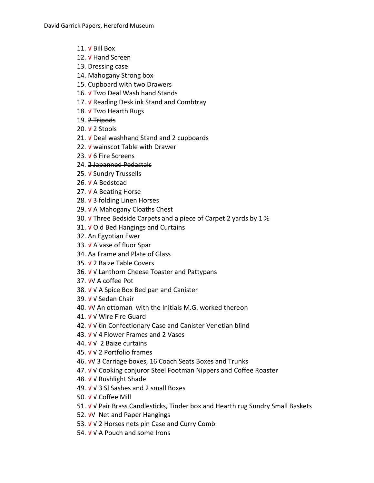- 11. √ Bill Box
- 12. V Hand Screen
- 13. Dressing case
- 14. Mahogany Strong box
- 15. Cupboard with two Drawers
- 16. √ Two Deal Wash hand Stands
- 17. V Reading Desk ink Stand and Combtray
- 18. V Two Hearth Rugs
- 19. 2 Tripods
- 20. √ 2 Stools
- 21. V Deal washhand Stand and 2 cupboards
- 22.  $V$  wainscot Table with Drawer
- 23. √ 6 Fire Screens
- 24. 2 Japanned Pedastals
- 25. √ Sundry Trussells
- 26. √ A Bedstead
- 27. V A Beating Horse
- 28. √ 3 folding Linen Horses
- 29.  $V$  A Mahogany Cloaths Chest
- 30.  $\sqrt{ }$  Three Bedside Carpets and a piece of Carpet 2 yards by 1  $\frac{1}{2}$
- 31.  $∨$  Old Bed Hangings and Curtains
- 32. An Egyptian Ewer
- 33. √ A vase of fluor Spar
- 34. Aa Frame and Plate of Glass
- 35. √ 2 Baize Table Covers
- 36. √ √ Lanthorn Cheese Toaster and Pattypans
- 37. √√ A coffee Pot
- 38. √ √ A Spice Box Bed pan and Canister
- 39. √ √ Sedan Chair
- 40. √√ An ottoman with the Initials M.G. worked thereon
- 41. √ √ Wire Fire Guard
- 42. √ √ tin Confectionary Case and Canister Venetian blind
- 43. √ √ 4 Flower Frames and 2 Vases
- 44. √ √ 2 Baize curtains
- 45. √ √ 2 Portfolio frames
- 46. √√ 3 Carriage boxes, 16 Coach Seats Boxes and Trunks
- 47. √ √ Cooking conjuror Steel Footman Nippers and Coffee Roaster
- 48. √ √ Rushlight Shade
- 49. √ √ 3 Sl Sashes and 2 small Boxes
- 50. √ √ Coffee Mill
- 51. √ √ Pair Brass Candlesticks, Tinder box and Hearth rug Sundry Small Baskets
- 52. √√ Net and Paper Hangings
- 53. √ √ 2 Horses nets pin Case and Curry Comb
- 54. √ √ A Pouch and some Irons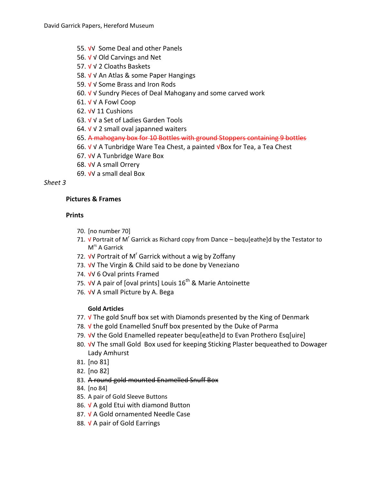- 55. √√ Some Deal and other Panels
- 56. √ √ Old Carvings and Net
- 57. √ √ 2 Cloaths Baskets
- 58. √ √ An Atlas & some Paper Hangings
- 59. √ √ Some Brass and Iron Rods
- 60. √ √ Sundry Pieces of Deal Mahogany and some carved work
- 61. √ √ A Fowl Coop
- 62. √√ 11 Cushions
- 63. √ √ a Set of Ladies Garden Tools
- 64.  $V$  V 2 small oval japanned waiters
- 65. A mahogany box for 10 Bottles with ground Stoppers containing 9 bottles
- 66. √ √ A Tunbridge Ware Tea Chest, a painted √Box for Tea, a Tea Chest
- 67. √√ A Tunbridge Ware Box
- 68. √√ A small Orrery
- 69. √√ a small deal Box

## *Sheet 3*

### **Pictures & Frames**

### **Prints**

- 70. [no number 70]
- 71.  $\sqrt{2}$  Portrait of M<sup>r</sup> Garrick as Richard copy from Dance bequ[eathe]d by the Testator to M<sup>rs</sup> A Garrick
- 72. *V*V Portrait of M<sup>r</sup> Garrick without a wig by Zoffany
- 73. √√ The Virgin & Child said to be done by Veneziano
- 74. √√ 6 Oval prints Framed
- 75. *V*V A pair of [oval prints] Louis 16<sup>th</sup> & Marie Antoinette
- 76. √√ A small Picture by A. Bega

### **Gold Articles**

- 77. √ The gold Snuff box set with Diamonds presented by the King of Denmark
- 78. √ the gold Enamelled Snuff box presented by the Duke of Parma
- 79. √√ the Gold Enamelled repeater bequ[eathe]d to Evan Prothero Esq[uire]
- 80. √√ The small Gold Box used for keeping Sticking Plaster bequeathed to Dowager Lady Amhurst
- 81. [no 81]
- 82. [no 82]
- 83. A round gold mounted Enamelled Snuff Box
- 84. [no 84]
- 85. A pair of Gold Sleeve Buttons
- 86.  $V$  A gold Etui with diamond Button
- 87. √ A Gold ornamented Needle Case
- 88. √ A pair of Gold Earrings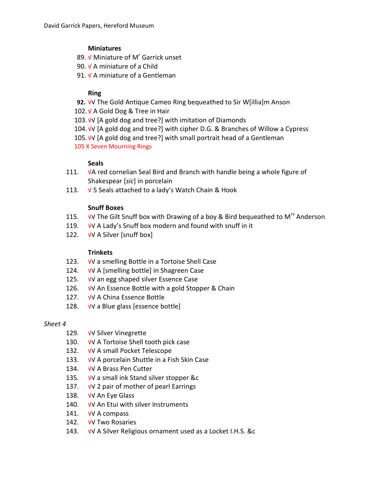## **Miniatures**

- 89.  $V$  Miniature of M<sup>r</sup> Garrick unset
- 90. V A miniature of a Child
- 91. V A miniature of a Gentleman

# **Ring**

**92.** √√ The Gold Antique Cameo Ring bequeathed to Sir W[illia]m Anson

102.√ A Gold Dog & Tree in Hair

103.√√ [A gold dog and tree?] with imitation of Diamonds

104.√√ [A gold dog and tree?] with cipher D.G. & Branches of Willow a Cypress

105.√√ [A gold dog and tree?] with small portrait head of a Gentleman 105 X Seven Mourning Rings

### **Seals**

- 111. √A red cornelian Seal Bird and Branch with handle being a whole figure of Shakespear [*sic*] in porcelain
- 113.  $\sqrt{5}$  Seals attached to a lady's Watch Chain & Hook

## **Snuff Boxes**

- 115.  $\sqrt{v}$  The Gilt Snuff box with Drawing of a boy & Bird bequeathed to M<sup>rs</sup> Anderson
- 119. √√ A Lady's Snuff box modern and found with snuff in it
- 122. √√ A Silver [snuff box]

### **Trinkets**

- 123. √√ a smelling Bottle in a Tortoise Shell Case
- 124. √√ A [smelling bottle] in Shagreen Case
- 125. √√ an egg shaped silver Essence Case
- 126. √√ An Essence Bottle with a gold Stopper & Chain
- 127. √√ A China Essence Bottle
- 128. √√ a Blue glass [essence bottle]

### *Sheet 4*

- 129. √√ Silver Vinegrette
- 130. √√ A Tortoise Shell tooth pick case
- 132. √√ A small Pocket Telescope
- 133. √√ A porcelain Shuttle in a Fish Skin Case
- 134. √√ A Brass Pen Cutter
- 135. √√ a small ink Stand silver stopper &c
- 137. √√ 2 pair of mother of pearl Earrings
- 138. √√ An Eye Glass
- 140. √√ An Etui with silver Instruments
- 141. √√ A compass
- 142. √√ Two Rosaries
- 143. √√ A Silver Religious ornament used as a Locket I.H.S. &c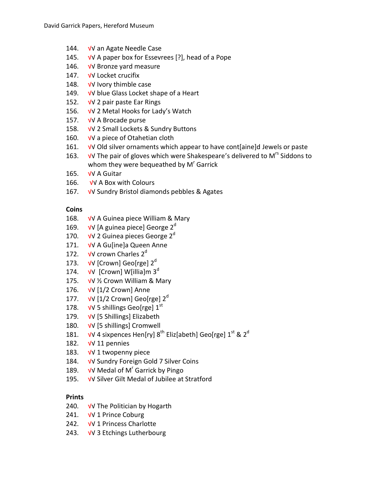- 144. √√ an Agate Needle Case
- 145. √√ A paper box for Essevrees [?], head of a Pope
- 146. √√ Bronze yard measure
- 147. √√ Locket crucifix
- 148. √√ Ivory thimble case
- 149. √√ blue Glass Locket shape of a Heart
- 152. √√ 2 pair paste Ear Rings
- 156. √√ 2 Metal Hooks for Lady's Watch
- 157. √√ A Brocade purse
- 158. √√ 2 Small Lockets & Sundry Buttons
- 160. √√ a piece of Otahetian cloth
- 161. √√ Old silver ornaments which appear to have cont[aine]d Jewels or paste
- 163. √√ The pair of gloves which were Shakespeare's delivered to M<sup>rs</sup> Siddons to whom they were bequeathed by  $M<sup>r</sup>$  Garrick
- 165. √√ A Guitar
- 166. √√ A Box with Colours
- 167. √√ Sundry Bristol diamonds pebbles & Agates

## **Coins**

- 168. √√ A Guinea piece William & Mary
- 169.  $\sqrt{V}$  [A guinea piece] George 2<sup>d</sup>
- 170.  $\sqrt{V}$  2 Guinea pieces George 2<sup>d</sup>
- 171. √√ A Gu[ine]a Queen Anne
- 172.  $\sqrt{v}$  crown Charles 2<sup>d</sup>
- 173.  $\sqrt{V}$  [Crown] Geo[rge] 2<sup>d</sup>
- 174.  $\sqrt{V}$  [Crown] W[illia]m 3<sup>d</sup>
- 175. √√ ½ Crown William & Mary
- 176. √√ [1/2 Crown] Anne
- 177.  $\sqrt{V}$  [1/2 Crown] Geo[rge] 2<sup>d</sup>
- 178.  $\sqrt{V}$  5 shillings Geo[rge] 1<sup>st</sup>
- 179. √√ [5 Shillings] Elizabeth
- 180. √√ [5 shillings] Cromwell
- 181.  $\sqrt{v}$  4 sixpences Hen[ry] 8<sup>th</sup> Eliz[abeth] Geo[rge] 1<sup>st</sup> & 2<sup>d</sup>
- 182. √√ 11 pennies
- 183. √√ 1 twopenny piece
- 184. √√ Sundry Foreign Gold 7 Silver Coins
- 189.  $\sqrt{V}$  Medal of M<sup>r</sup> Garrick by Pingo
- 195. √√ Silver Gilt Medal of Jubilee at Stratford

### **Prints**

- 240. √√ The Politician by Hogarth
- 241. √√ 1 Prince Coburg
- 242. √√ 1 Princess Charlotte
- 243. √√ 3 Etchings Lutherbourg